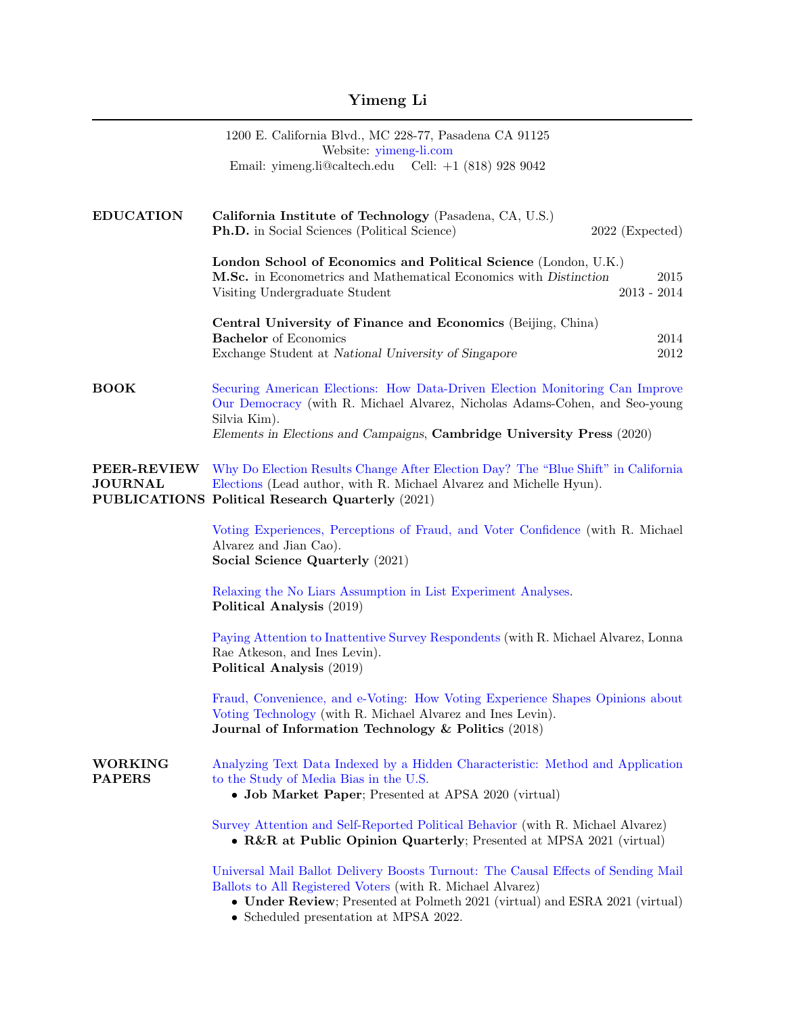## Yimeng Li

|                                      | 1200 E. California Blvd., MC 228-77, Pasadena CA 91125<br>Website: yimeng-li.com<br>Email: yimeng.li@caltech.edu Cell: $+1$ (818) 928 9042                                                                                                                                   |  |
|--------------------------------------|------------------------------------------------------------------------------------------------------------------------------------------------------------------------------------------------------------------------------------------------------------------------------|--|
|                                      |                                                                                                                                                                                                                                                                              |  |
| <b>EDUCATION</b>                     | California Institute of Technology (Pasadena, CA, U.S.)<br><b>Ph.D.</b> in Social Sciences (Political Science)<br>$2022$ (Expected)                                                                                                                                          |  |
|                                      | London School of Economics and Political Science (London, U.K.)<br>M.Sc. in Econometrics and Mathematical Economics with Distinction<br>2015<br>$2013 - 2014$<br>Visiting Undergraduate Student                                                                              |  |
|                                      | Central University of Finance and Economics (Beijing, China)<br><b>Bachelor</b> of Economics<br>2014                                                                                                                                                                         |  |
|                                      | $2012\,$<br>Exchange Student at National University of Singapore                                                                                                                                                                                                             |  |
| <b>BOOK</b>                          | Securing American Elections: How Data-Driven Election Monitoring Can Improve<br>Our Democracy (with R. Michael Alvarez, Nicholas Adams-Cohen, and Seo-young<br>Silvia Kim).                                                                                                  |  |
|                                      | Elements in Elections and Campaigns, Cambridge University Press (2020)                                                                                                                                                                                                       |  |
| <b>PEER-REVIEW</b><br><b>JOURNAL</b> | Why Do Election Results Change After Election Day? The "Blue Shift" in California<br>Elections (Lead author, with R. Michael Alvarez and Michelle Hyun).<br>PUBLICATIONS Political Research Quarterly (2021)                                                                 |  |
|                                      | Voting Experiences, Perceptions of Fraud, and Voter Confidence (with R. Michael<br>Alvarez and Jian Cao).<br>Social Science Quarterly (2021)                                                                                                                                 |  |
|                                      | Relaxing the No Liars Assumption in List Experiment Analyses.<br>Political Analysis (2019)                                                                                                                                                                                   |  |
|                                      | Paying Attention to Inattentive Survey Respondents (with R. Michael Alvarez, Lonna<br>Rae Atkeson, and Ines Levin).<br>Political Analysis (2019)                                                                                                                             |  |
|                                      | Fraud, Convenience, and e-Voting: How Voting Experience Shapes Opinions about<br>Voting Technology (with R. Michael Alvarez and Ines Levin).<br>Journal of Information Technology & Politics (2018)                                                                          |  |
| <b>WORKING</b><br><b>PAPERS</b>      | Analyzing Text Data Indexed by a Hidden Characteristic: Method and Application<br>to the Study of Media Bias in the U.S.<br>• Job Market Paper; Presented at APSA 2020 (virtual)                                                                                             |  |
|                                      | Survey Attention and Self-Reported Political Behavior (with R. Michael Alvarez)<br>• R&R at Public Opinion Quarterly; Presented at MPSA 2021 (virtual)                                                                                                                       |  |
|                                      | Universal Mail Ballot Delivery Boosts Turnout: The Causal Effects of Sending Mail<br>Ballots to All Registered Voters (with R. Michael Alvarez)<br>• Under Review; Presented at Polmeth 2021 (virtual) and ESRA 2021 (virtual)<br>$\pm 3$ $\sqrt{D}$ $\sqrt{A}$ $\sqrt{200}$ |  |

• Scheduled presentation at MPSA 2022.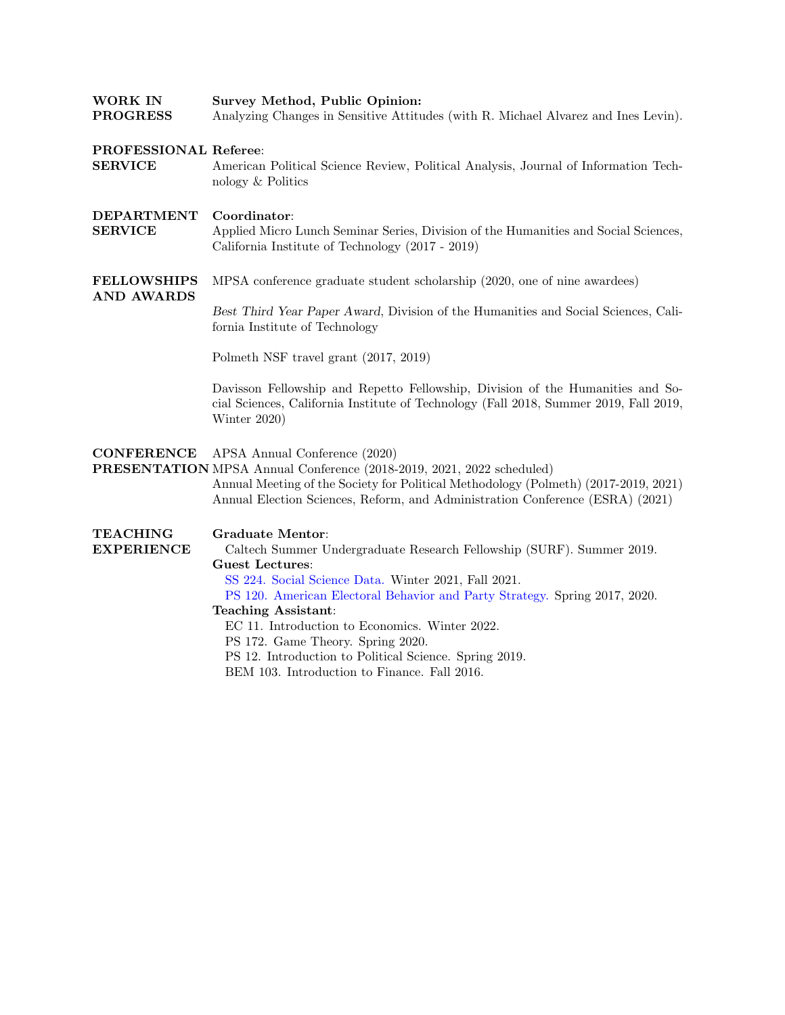| <b>WORK IN</b><br><b>PROGRESS</b>       | Survey Method, Public Opinion:<br>Analyzing Changes in Sensitive Attitudes (with R. Michael Alvarez and Ines Levin).                                                                                                                                                                                                                                                                                                                                                                            |  |  |
|-----------------------------------------|-------------------------------------------------------------------------------------------------------------------------------------------------------------------------------------------------------------------------------------------------------------------------------------------------------------------------------------------------------------------------------------------------------------------------------------------------------------------------------------------------|--|--|
| PROFESSIONAL Referee:<br><b>SERVICE</b> | American Political Science Review, Political Analysis, Journal of Information Tech-<br>nology & Politics                                                                                                                                                                                                                                                                                                                                                                                        |  |  |
| DEPARTMENT<br><b>SERVICE</b>            | Coordinator:<br>Applied Micro Lunch Seminar Series, Division of the Humanities and Social Sciences,<br>California Institute of Technology (2017 - 2019)                                                                                                                                                                                                                                                                                                                                         |  |  |
| <b>FELLOWSHIPS</b><br><b>AND AWARDS</b> | MPSA conference graduate student scholarship (2020, one of nine awardees)<br>Best Third Year Paper Award, Division of the Humanities and Social Sciences, Cali-<br>fornia Institute of Technology<br>Polmeth NSF travel grant (2017, 2019)<br>Davisson Fellowship and Repetto Fellowship, Division of the Humanities and So-<br>cial Sciences, California Institute of Technology (Fall 2018, Summer 2019, Fall 2019,<br>Winter 2020)                                                           |  |  |
| <b>CONFERENCE</b>                       | APSA Annual Conference (2020)<br>PRESENTATION MPSA Annual Conference (2018-2019, 2021, 2022 scheduled)<br>Annual Meeting of the Society for Political Methodology (Polmeth) (2017-2019, 2021)<br>Annual Election Sciences, Reform, and Administration Conference (ESRA) (2021)                                                                                                                                                                                                                  |  |  |
| <b>TEACHING</b><br><b>EXPERIENCE</b>    | <b>Graduate Mentor:</b><br>Caltech Summer Undergraduate Research Fellowship (SURF). Summer 2019.<br><b>Guest Lectures:</b><br>SS 224. Social Science Data. Winter 2021, Fall 2021.<br>PS 120. American Electoral Behavior and Party Strategy. Spring 2017, 2020.<br><b>Teaching Assistant:</b><br>EC 11. Introduction to Economics. Winter 2022.<br>PS 172. Game Theory. Spring 2020.<br>PS 12. Introduction to Political Science. Spring 2019.<br>BEM 103. Introduction to Finance. Fall 2016. |  |  |